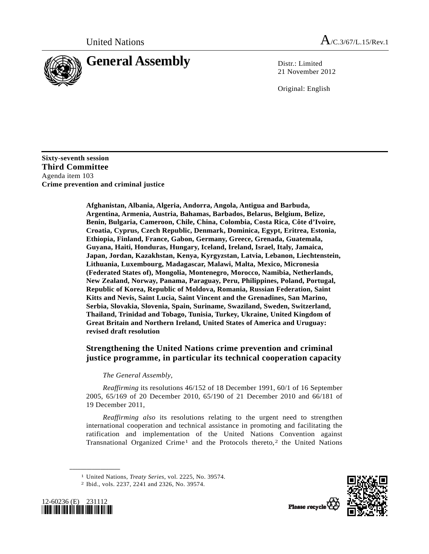

21 November 2012

Original: English

**Sixty-seventh session Third Committee**  Agenda item 103 **Crime prevention and criminal justice** 

> **Afghanistan, Albania, Algeria, Andorra, Angola, Antigua and Barbuda, Argentina, Armenia, Austria, Bahamas, Barbados, Belarus, Belgium, Belize, Benin, Bulgaria, Cameroon, Chile, China, Colombia, Costa Rica, Côte d'Ivoire, Croatia, Cyprus, Czech Republic, Denmark, Dominica, Egypt, Eritrea, Estonia, Ethiopia, Finland, France, Gabon, Germany, Greece, Grenada, Guatemala, Guyana, Haiti, Honduras, Hungary, Iceland, Ireland, Israel, Italy, Jamaica, Japan, Jordan, Kazakhstan, Kenya, Kyrgyzstan, Latvia, Lebanon, Liechtenstein, Lithuania, Luxembourg, Madagascar, Malawi, Malta, Mexico, Micronesia (Federated States of), Mongolia, Montenegro, Morocco, Namibia, Netherlands, New Zealand, Norway, Panama, Paraguay, Peru, Philippines, Poland, Portugal, Republic of Korea, Republic of Moldova, Romania, Russian Federation, Saint Kitts and Nevis, Saint Lucia, Saint Vincent and the Grenadines, San Marino, Serbia, Slovakia, Slovenia, Spain, Suriname, Swaziland, Sweden, Switzerland, Thailand, Trinidad and Tobago, Tunisia, Turkey, Ukraine, United Kingdom of Great Britain and Northern Ireland, United States of America and Uruguay: revised draft resolution**

## **Strengthening the United Nations crime prevention and criminal justice programme, in particular its technical cooperation capacity**

## *The General Assembly*,

*Reaffirming* its resolutions 46/152 of 18 December 1991, 60/1 of 16 September 2005, 65/169 of 20 December 2010, 65/190 of 21 December 2010 and 66/181 of 19 December 2011,

*Reaffirming also* its resolutions relating to the urgent need to strengthen international cooperation and technical assistance in promoting and facilitating the ratification and implementation of the United Nations Convention against Transnational Organized Crime<sup>1</sup> and the Protocols thereto,<sup>2</sup> the United Nations

<span id="page-0-1"></span><span id="page-0-0"></span>



<sup>1</sup> United Nations, *Treaty Series*, vol. 2225, No. 39574. 2 Ibid., vols. 2237, 2241 and 2326, No. 39574.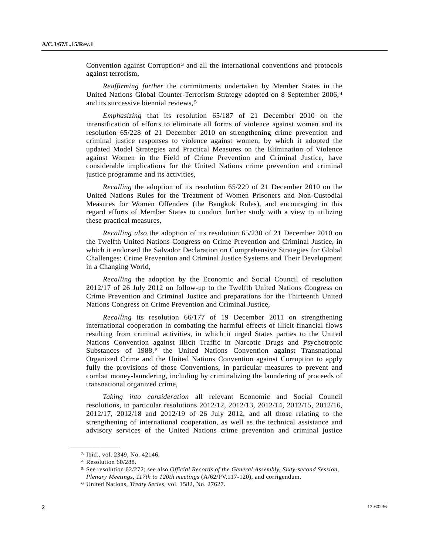Convention against Corruption[3](#page-1-0) and all the international conventions and protocols against terrorism,

*Reaffirming further* the commitments undertaken by Member States in the United Nations Global Counter-Terrorism Strategy adopted on 8 September 2006,[4](#page-1-1) and its successive biennial reviews,[5](#page-1-2)

*Emphasizing* that its resolution 65/187 of 21 December 2010 on the intensification of efforts to eliminate all forms of violence against women and its resolution 65/228 of 21 December 2010 on strengthening crime prevention and criminal justice responses to violence against women, by which it adopted the updated Model Strategies and Practical Measures on the Elimination of Violence against Women in the Field of Crime Prevention and Criminal Justice, have considerable implications for the United Nations crime prevention and criminal justice programme and its activities,

*Recalling* the adoption of its resolution 65/229 of 21 December 2010 on the United Nations Rules for the Treatment of Women Prisoners and Non-Custodial Measures for Women Offenders (the Bangkok Rules), and encouraging in this regard efforts of Member States to conduct further study with a view to utilizing these practical measures,

*Recalling also* the adoption of its resolution 65/230 of 21 December 2010 on the Twelfth United Nations Congress on Crime Prevention and Criminal Justice, in which it endorsed the Salvador Declaration on Comprehensive Strategies for Global Challenges: Crime Prevention and Criminal Justice Systems and Their Development in a Changing World,

*Recalling* the adoption by the Economic and Social Council of resolution 2012/17 of 26 July 2012 on follow-up to the Twelfth United Nations Congress on Crime Prevention and Criminal Justice and preparations for the Thirteenth United Nations Congress on Crime Prevention and Criminal Justice,

*Recalling* its resolution 66/177 of 19 December 2011 on strengthening international cooperation in combating the harmful effects of illicit financial flows resulting from criminal activities, in which it urged States parties to the United Nations Convention against Illicit Traffic in Narcotic Drugs and Psychotropic Substances of 1988,<sup>6</sup> the United Nations Convention against Transnational Organized Crime and the United Nations Convention against Corruption to apply fully the provisions of those Conventions, in particular measures to prevent and combat money-laundering, including by criminalizing the laundering of proceeds of transnational organized crime,

*Taking into consideration* all relevant Economic and Social Council resolutions, in particular resolutions 2012/12, 2012/13, 2012/14, 2012/15, 2012/16, 2012/17, 2012/18 and 2012/19 of 26 July 2012, and all those relating to the strengthening of international cooperation, as well as the technical assistance and advisory services of the United Nations crime prevention and criminal justice

<span id="page-1-0"></span><sup>3</sup> Ibid., vol. 2349, No. 42146.

<span id="page-1-1"></span><sup>4</sup> Resolution 60/288.

<span id="page-1-2"></span><sup>5</sup> See resolution 62/272; see also *Official Records of the General Assembly, Sixty-second Session, Plenary Meetings, 117th to 120th meetings* (A/62/PV.117-120), and corrigendum. 6 United Nations, *Treaty Series*, vol. 1582, No. 27627.

<span id="page-1-3"></span>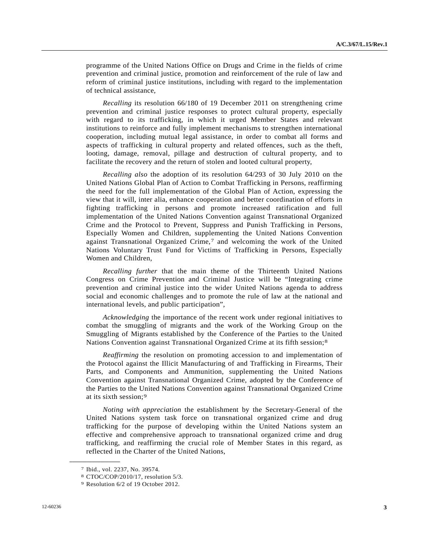programme of the United Nations Office on Drugs and Crime in the fields of crime prevention and criminal justice, promotion and reinforcement of the rule of law and reform of criminal justice institutions, including with regard to the implementation of technical assistance,

*Recalling* its resolution 66/180 of 19 December 2011 on strengthening crime prevention and criminal justice responses to protect cultural property, especially with regard to its trafficking, in which it urged Member States and relevant institutions to reinforce and fully implement mechanisms to strengthen international cooperation, including mutual legal assistance, in order to combat all forms and aspects of trafficking in cultural property and related offences, such as the theft, looting, damage, removal, pillage and destruction of cultural property, and to facilitate the recovery and the return of stolen and looted cultural property,

*Recalling also* the adoption of its resolution 64/293 of 30 July 2010 on the United Nations Global Plan of Action to Combat Trafficking in Persons, reaffirming the need for the full implementation of the Global Plan of Action, expressing the view that it will, inter alia, enhance cooperation and better coordination of efforts in fighting trafficking in persons and promote increased ratification and full implementation of the United Nations Convention against Transnational Organized Crime and the Protocol to Prevent, Suppress and Punish Trafficking in Persons, Especially Women and Children, supplementing the United Nations Convention against Transnational Organized Crime,[7](#page-2-0) and welcoming the work of the United Nations Voluntary Trust Fund for Victims of Trafficking in Persons, Especially Women and Children,

*Recalling further* that the main theme of the Thirteenth United Nations Congress on Crime Prevention and Criminal Justice will be "Integrating crime prevention and criminal justice into the wider United Nations agenda to address social and economic challenges and to promote the rule of law at the national and international levels, and public participation",

*Acknowledging* the importance of the recent work under regional initiatives to combat the smuggling of migrants and the work of the Working Group on the Smuggling of Migrants established by the Conference of the Parties to the United Nations Convention against Transnational Organized Crime at its fifth session;[8](#page-2-1)

*Reaffirming* the resolution on promoting accession to and implementation of the Protocol against the Illicit Manufacturing of and Trafficking in Firearms, Their Parts, and Components and Ammunition, supplementing the United Nations Convention against Transnational Organized Crime, adopted by the Conference of the Parties to the United Nations Convention against Transnational Organized Crime at its sixth session;[9](#page-2-2)

*Noting with appreciation* the establishment by the Secretary-General of the United Nations system task force on transnational organized crime and drug trafficking for the purpose of developing within the United Nations system an effective and comprehensive approach to transnational organized crime and drug trafficking, and reaffirming the crucial role of Member States in this regard, as reflected in the Charter of the United Nations,

<span id="page-2-1"></span><span id="page-2-0"></span><sup>7</sup> Ibid., vol. 2237, No. 39574.

<sup>8</sup> CTOC/COP/2010/17, resolution 5/3.

<span id="page-2-2"></span><sup>9</sup> Resolution 6/2 of 19 October 2012.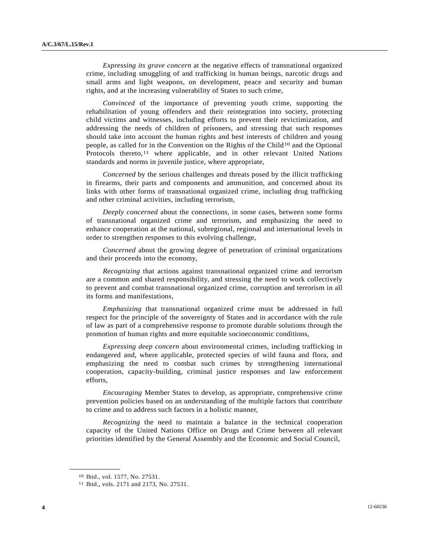*Expressing its grave concern* at the negative effects of transnational organized crime, including smuggling of and trafficking in human beings, narcotic drugs and small arms and light weapons, on development, peace and security and human rights, and at the increasing vulnerability of States to such crime,

*Convinced* of the importance of preventing youth crime, supporting the rehabilitation of young offenders and their reintegration into society, protecting child victims and witnesses, including efforts to prevent their revictimization, and addressing the needs of children of prisoners, and stressing that such responses should take into account the human rights and best interests of children and young people, as called for in the Convention on the Rights of the Child<sup>[10](#page-3-0)</sup> and the Optional Protocols thereto,<sup>[11](#page-3-1)</sup> where applicable, and in other relevant United Nations standards and norms in juvenile justice, where appropriate,

*Concerned* by the serious challenges and threats posed by the illicit trafficking in firearms, their parts and components and ammunition, and concerned about its links with other forms of transnational organized crime, including drug trafficking and other criminal activities, including terrorism,

*Deeply concerned* about the connections, in some cases, between some forms of transnational organized crime and terrorism, and emphasizing the need to enhance cooperation at the national, subregional, regional and international levels in order to strengthen responses to this evolving challenge,

*Concerned* about the growing degree of penetration of criminal organizations and their proceeds into the economy,

*Recognizing* that actions against transnational organized crime and terrorism are a common and shared responsibility, and stressing the need to work collectively to prevent and combat transnational organized crime, corruption and terrorism in all its forms and manifestations,

*Emphasizing* that transnational organized crime must be addressed in full respect for the principle of the sovereignty of States and in accordance with the rule of law as part of a comprehensive response to promote durable solutions through the promotion of human rights and more equitable socioeconomic conditions,

*Expressing deep concern* about environmental crimes, including trafficking in endangered and, where applicable, protected species of wild fauna and flora, and emphasizing the need to combat such crimes by strengthening international cooperation, capacity-building, criminal justice responses and law enforcement efforts,

*Encouraging* Member States to develop, as appropriate, comprehensive crime prevention policies based on an understanding of the multiple factors that contribute to crime and to address such factors in a holistic manner,

*Recognizing* the need to maintain a balance in the technical cooperation capacity of the United Nations Office on Drugs and Crime between all relevant priorities identified by the General Assembly and the Economic and Social Council,

<span id="page-3-0"></span><sup>10</sup> Ibid., vol. 1577, No. 27531.

<span id="page-3-1"></span><sup>11</sup> Ibid., vols. 2171 and 2173, No. 27531.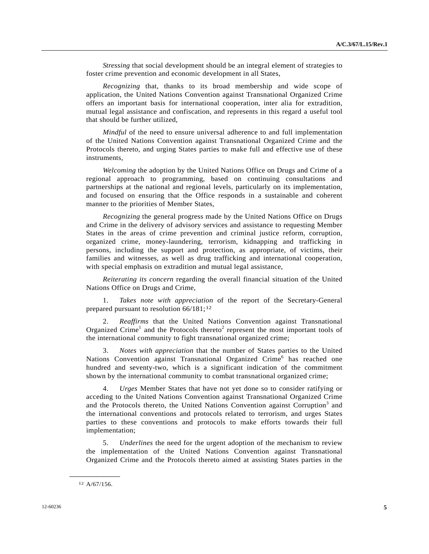*Stressing* that social development should be an integral element of strategies to foster crime prevention and economic development in all States,

*Recognizing* that, thanks to its broad membership and wide scope of application, the United Nations Convention against Transnational Organized Crime offers an important basis for international cooperation, inter alia for extradition, mutual legal assistance and confiscation, and represents in this regard a useful tool that should be further utilized,

*Mindful* of the need to ensure universal adherence to and full implementation of the United Nations Convention against Transnational Organized Crime and the Protocols thereto, and urging States parties to make full and effective use of these instruments,

*Welcoming* the adoption by the United Nations Office on Drugs and Crime of a regional approach to programming, based on continuing consultations and partnerships at the national and regional levels, particularly on its implementation, and focused on ensuring that the Office responds in a sustainable and coherent manner to the priorities of Member States,

*Recognizing* the general progress made by the United Nations Office on Drugs and Crime in the delivery of advisory services and assistance to requesting Member States in the areas of crime prevention and criminal justice reform, corruption, organized crime, money-laundering, terrorism, kidnapping and trafficking in persons, including the support and protection, as appropriate, of victims, their families and witnesses, as well as drug trafficking and international cooperation, with special emphasis on extradition and mutual legal assistance,

*Reiterating its concern* regarding the overall financial situation of the United Nations Office on Drugs and Crime,

 1. *Takes note with appreciation* of the report of the Secretary-General prepared pursuant to resolution  $66/181$  $66/181$  $66/181$ ;<sup>12</sup>

 2. *Reaffirms* that the United Nations Convention against Transnational Organized Crime<sup>1</sup> and the Protocols thereto<sup>2</sup> represent the most important tools of the international community to fight transnational organized crime;

 3. *Notes with appreciation* that the number of States parties to the United Nations Convention against Transnational Organized Crime<sup>6</sup> has reached one hundred and seventy-two, which is a significant indication of the commitment shown by the international community to combat transnational organized crime;

 4. *Urges* Member States that have not yet done so to consider ratifying or acceding to the United Nations Convention against Transnational Organized Crime and the Protocols thereto, the United Nations Convention against Corruption<sup>3</sup> and the international conventions and protocols related to terrorism, and urges States parties to these conventions and protocols to make efforts towards their full implementation;

 5. *Underlines* the need for the urgent adoption of the mechanism to review the implementation of the United Nations Convention against Transnational Organized Crime and the Protocols thereto aimed at assisting States parties in the

<span id="page-4-0"></span>**\_\_\_\_\_\_\_\_\_\_\_\_\_\_\_\_\_\_**  12 A/67/156.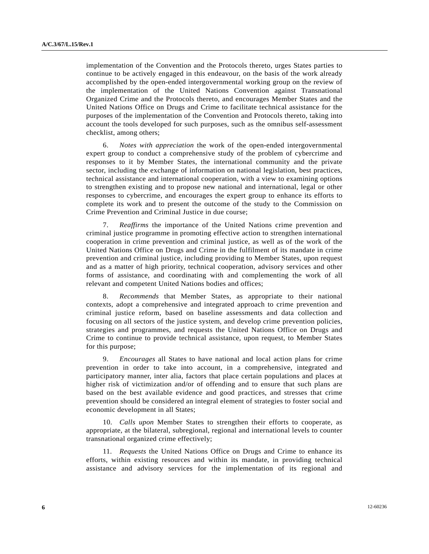implementation of the Convention and the Protocols thereto, urges States parties to continue to be actively engaged in this endeavour, on the basis of the work already accomplished by the open-ended intergovernmental working group on the review of the implementation of the United Nations Convention against Transnational Organized Crime and the Protocols thereto, and encourages Member States and the United Nations Office on Drugs and Crime to facilitate technical assistance for the purposes of the implementation of the Convention and Protocols thereto, taking into account the tools developed for such purposes, such as the omnibus self-assessment checklist, among others;

 6. *Notes with appreciation* the work of the open-ended intergovernmental expert group to conduct a comprehensive study of the problem of cybercrime and responses to it by Member States, the international community and the private sector, including the exchange of information on national legislation, best practices, technical assistance and international cooperation, with a view to examining options to strengthen existing and to propose new national and international, legal or other responses to cybercrime, and encourages the expert group to enhance its efforts to complete its work and to present the outcome of the study to the Commission on Crime Prevention and Criminal Justice in due course;

 7. *Reaffirms* the importance of the United Nations crime prevention and criminal justice programme in promoting effective action to strengthen international cooperation in crime prevention and criminal justice, as well as of the work of the United Nations Office on Drugs and Crime in the fulfilment of its mandate in crime prevention and criminal justice, including providing to Member States, upon request and as a matter of high priority, technical cooperation, advisory services and other forms of assistance, and coordinating with and complementing the work of all relevant and competent United Nations bodies and offices;

 8. *Recommends* that Member States, as appropriate to their national contexts, adopt a comprehensive and integrated approach to crime prevention and criminal justice reform, based on baseline assessments and data collection and focusing on all sectors of the justice system, and develop crime prevention policies, strategies and programmes, and requests the United Nations Office on Drugs and Crime to continue to provide technical assistance, upon request, to Member States for this purpose;

 9. *Encourages* all States to have national and local action plans for crime prevention in order to take into account, in a comprehensive, integrated and participatory manner, inter alia, factors that place certain populations and places at higher risk of victimization and/or of offending and to ensure that such plans are based on the best available evidence and good practices, and stresses that crime prevention should be considered an integral element of strategies to foster social and economic development in all States;

 10. *Calls upon* Member States to strengthen their efforts to cooperate, as appropriate, at the bilateral, subregional, regional and international levels to counter transnational organized crime effectively;

 11. *Requests* the United Nations Office on Drugs and Crime to enhance its efforts, within existing resources and within its mandate, in providing technical assistance and advisory services for the implementation of its regional and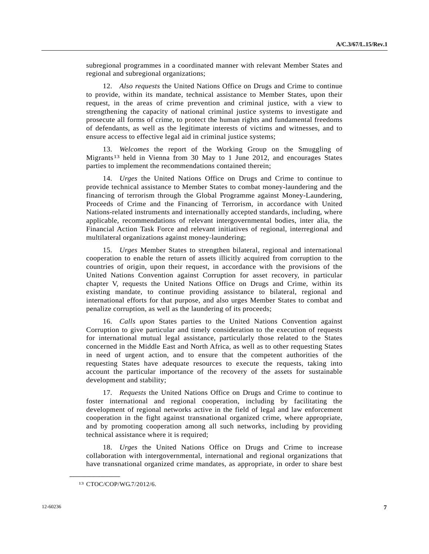subregional programmes in a coordinated manner with relevant Member States and regional and subregional organizations;

 12. *Also requests* the United Nations Office on Drugs and Crime to continue to provide, within its mandate, technical assistance to Member States, upon their request, in the areas of crime prevention and criminal justice, with a view to strengthening the capacity of national criminal justice systems to investigate and prosecute all forms of crime, to protect the human rights and fundamental freedoms of defendants, as well as the legitimate interests of victims and witnesses, and to ensure access to effective legal aid in criminal justice systems;

 13. *Welcomes* the report of the Working Group on the Smuggling of Migrants<sup>[13](#page-6-0)</sup> held in Vienna from 30 May to 1 June 2012, and encourages States parties to implement the recommendations contained therein;

 14. *Urges* the United Nations Office on Drugs and Crime to continue to provide technical assistance to Member States to combat money-laundering and the financing of terrorism through the Global Programme against Money-Laundering, Proceeds of Crime and the Financing of Terrorism, in accordance with United Nations-related instruments and internationally accepted standards, including, where applicable, recommendations of relevant intergovernmental bodies, inter alia, the Financial Action Task Force and relevant initiatives of regional, interregional and multilateral organizations against money-laundering;

 15. *Urges* Member States to strengthen bilateral, regional and international cooperation to enable the return of assets illicitly acquired from corruption to the countries of origin, upon their request, in accordance with the provisions of the United Nations Convention against Corruption for asset recovery, in particular chapter V, requests the United Nations Office on Drugs and Crime, within its existing mandate, to continue providing assistance to bilateral, regional and international efforts for that purpose, and also urges Member States to combat and penalize corruption, as well as the laundering of its proceeds;

 16. *Calls upon* States parties to the United Nations Convention against Corruption to give particular and timely consideration to the execution of requests for international mutual legal assistance, particularly those related to the States concerned in the Middle East and North Africa, as well as to other requesting States in need of urgent action, and to ensure that the competent authorities of the requesting States have adequate resources to execute the requests, taking into account the particular importance of the recovery of the assets for sustainable development and stability;

 17. *Requests* the United Nations Office on Drugs and Crime to continue to foster international and regional cooperation, including by facilitating the development of regional networks active in the field of legal and law enforcement cooperation in the fight against transnational organized crime, where appropriate, and by promoting cooperation among all such networks, including by providing technical assistance where it is required;

 18. *Urges* the United Nations Office on Drugs and Crime to increase collaboration with intergovernmental, international and regional organizations that have transnational organized crime mandates, as appropriate, in order to share best

<span id="page-6-0"></span><sup>13</sup> CTOC/COP/WG.7/2012/6.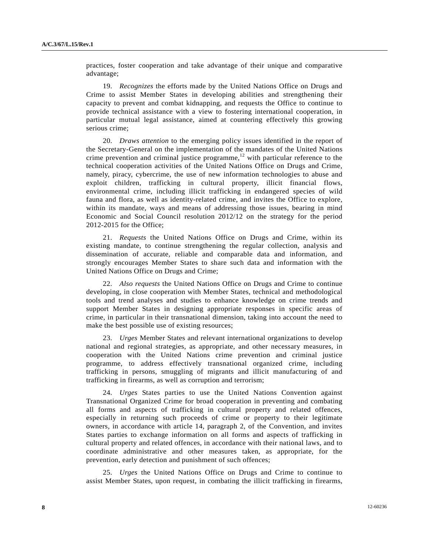practices, foster cooperation and take advantage of their unique and comparative advantage;

 19. *Recognizes* the efforts made by the United Nations Office on Drugs and Crime to assist Member States in developing abilities and strengthening their capacity to prevent and combat kidnapping, and requests the Office to continue to provide technical assistance with a view to fostering international cooperation, in particular mutual legal assistance, aimed at countering effectively this growing serious crime;

 20. *Draws attention* to the emerging policy issues identified in the report of the Secretary-General on the implementation of the mandates of the United Nations crime prevention and criminal justice programme, $12$  with particular reference to the technical cooperation activities of the United Nations Office on Drugs and Crime, namely, piracy, cybercrime, the use of new information technologies to abuse and exploit children, trafficking in cultural property, illicit financial flows, environmental crime, including illicit trafficking in endangered species of wild fauna and flora, as well as identity-related crime, and invites the Office to explore, within its mandate, ways and means of addressing those issues, bearing in mind Economic and Social Council resolution 2012/12 on the strategy for the period 2012-2015 for the Office;

 21. *Requests* the United Nations Office on Drugs and Crime, within its existing mandate, to continue strengthening the regular collection, analysis and dissemination of accurate, reliable and comparable data and information, and strongly encourages Member States to share such data and information with the United Nations Office on Drugs and Crime;

 22. *Also requests* the United Nations Office on Drugs and Crime to continue developing, in close cooperation with Member States, technical and methodological tools and trend analyses and studies to enhance knowledge on crime trends and support Member States in designing appropriate responses in specific areas of crime, in particular in their transnational dimension, taking into account the need to make the best possible use of existing resources;

 23. *Urges* Member States and relevant international organizations to develop national and regional strategies, as appropriate, and other necessary measures, in cooperation with the United Nations crime prevention and criminal justice programme, to address effectively transnational organized crime, including trafficking in persons, smuggling of migrants and illicit manufacturing of and trafficking in firearms, as well as corruption and terrorism;

 24. *Urges* States parties to use the United Nations Convention against Transnational Organized Crime for broad cooperation in preventing and combating all forms and aspects of trafficking in cultural property and related offences, especially in returning such proceeds of crime or property to their legitimate owners, in accordance with article 14, paragraph 2, of the Convention, and invites States parties to exchange information on all forms and aspects of trafficking in cultural property and related offences, in accordance with their national laws, and to coordinate administrative and other measures taken, as appropriate, for the prevention, early detection and punishment of such offences;

 25. *Urges* the United Nations Office on Drugs and Crime to continue to assist Member States, upon request, in combating the illicit trafficking in firearms,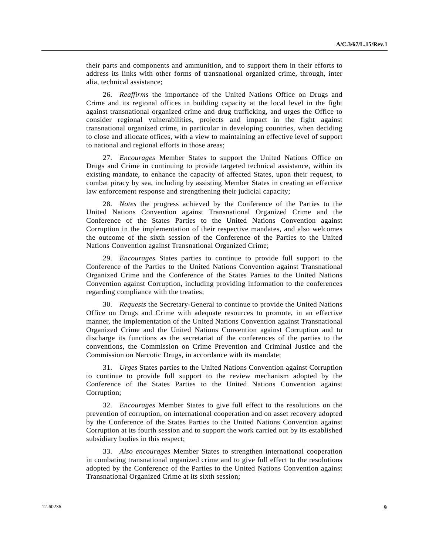their parts and components and ammunition, and to support them in their efforts to address its links with other forms of transnational organized crime, through, inter alia, technical assistance;

 26. *Reaffirms* the importance of the United Nations Office on Drugs and Crime and its regional offices in building capacity at the local level in the fight against transnational organized crime and drug trafficking, and urges the Office to consider regional vulnerabilities, projects and impact in the fight against transnational organized crime, in particular in developing countries, when deciding to close and allocate offices, with a view to maintaining an effective level of support to national and regional efforts in those areas;

 27. *Encourages* Member States to support the United Nations Office on Drugs and Crime in continuing to provide targeted technical assistance, within its existing mandate, to enhance the capacity of affected States, upon their request, to combat piracy by sea, including by assisting Member States in creating an effective law enforcement response and strengthening their judicial capacity;

 28. *Notes* the progress achieved by the Conference of the Parties to the United Nations Convention against Transnational Organized Crime and the Conference of the States Parties to the United Nations Convention against Corruption in the implementation of their respective mandates, and also welcomes the outcome of the sixth session of the Conference of the Parties to the United Nations Convention against Transnational Organized Crime;

 29. *Encourages* States parties to continue to provide full support to the Conference of the Parties to the United Nations Convention against Transnational Organized Crime and the Conference of the States Parties to the United Nations Convention against Corruption, including providing information to the conferences regarding compliance with the treaties;

 30. *Requests* the Secretary-General to continue to provide the United Nations Office on Drugs and Crime with adequate resources to promote, in an effective manner, the implementation of the United Nations Convention against Transnational Organized Crime and the United Nations Convention against Corruption and to discharge its functions as the secretariat of the conferences of the parties to the conventions, the Commission on Crime Prevention and Criminal Justice and the Commission on Narcotic Drugs, in accordance with its mandate;

 31. *Urges* States parties to the United Nations Convention against Corruption to continue to provide full support to the review mechanism adopted by the Conference of the States Parties to the United Nations Convention against Corruption;

 32. *Encourages* Member States to give full effect to the resolutions on the prevention of corruption, on international cooperation and on asset recovery adopted by the Conference of the States Parties to the United Nations Convention against Corruption at its fourth session and to support the work carried out by its established subsidiary bodies in this respect;

 33. *Also encourages* Member States to strengthen international cooperation in combating transnational organized crime and to give full effect to the resolutions adopted by the Conference of the Parties to the United Nations Convention against Transnational Organized Crime at its sixth session;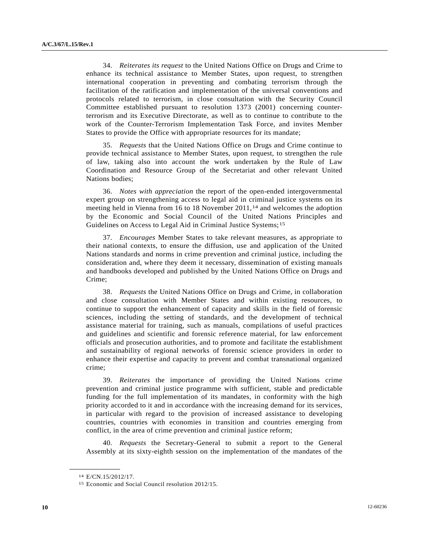34. *Reiterates its request* to the United Nations Office on Drugs and Crime to enhance its technical assistance to Member States, upon request, to strengthen international cooperation in preventing and combating terrorism through the facilitation of the ratification and implementation of the universal conventions and protocols related to terrorism, in close consultation with the Security Council Committee established pursuant to resolution 1373 (2001) concerning counterterrorism and its Executive Directorate, as well as to continue to contribute to the work of the Counter-Terrorism Implementation Task Force, and invites Member States to provide the Office with appropriate resources for its mandate;

 35. *Requests* that the United Nations Office on Drugs and Crime continue to provide technical assistance to Member States, upon request, to strengthen the rule of law, taking also into account the work undertaken by the Rule of Law Coordination and Resource Group of the Secretariat and other relevant United Nations bodies;

 36. *Notes with appreciation* the report of the open-ended intergovernmental expert group on strengthening access to legal aid in criminal justice systems on its meeting held in Vienna from [1](#page-9-0)6 to 18 November 2011,<sup>14</sup> and welcomes the adoption by the Economic and Social Council of the United Nations Principles and Guidelines on Access to Legal Aid in Criminal Justice Systems;[15](#page-9-1)

 37. *Encourages* Member States to take relevant measures, as appropriate to their national contexts, to ensure the diffusion, use and application of the United Nations standards and norms in crime prevention and criminal justice, including the consideration and, where they deem it necessary, dissemination of existing manuals and handbooks developed and published by the United Nations Office on Drugs and Crime;

 38. *Requests* the United Nations Office on Drugs and Crime, in collaboration and close consultation with Member States and within existing resources, to continue to support the enhancement of capacity and skills in the field of forensic sciences, including the setting of standards, and the development of technical assistance material for training, such as manuals, compilations of useful practices and guidelines and scientific and forensic reference material, for law enforcement officials and prosecution authorities, and to promote and facilitate the establishment and sustainability of regional networks of forensic science providers in order to enhance their expertise and capacity to prevent and combat transnational organized crime;

 39. *Reiterates* the importance of providing the United Nations crime prevention and criminal justice programme with sufficient, stable and predictable funding for the full implementation of its mandates, in conformity with the high priority accorded to it and in accordance with the increasing demand for its services, in particular with regard to the provision of increased assistance to developing countries, countries with economies in transition and countries emerging from conflict, in the area of crime prevention and criminal justice reform;

 40. *Requests* the Secretary-General to submit a report to the General Assembly at its sixty-eighth session on the implementation of the mandates of the

<span id="page-9-0"></span><sup>14</sup> E/CN.15/2012/17.

<span id="page-9-1"></span><sup>15</sup> Economic and Social Council resolution 2012/15.